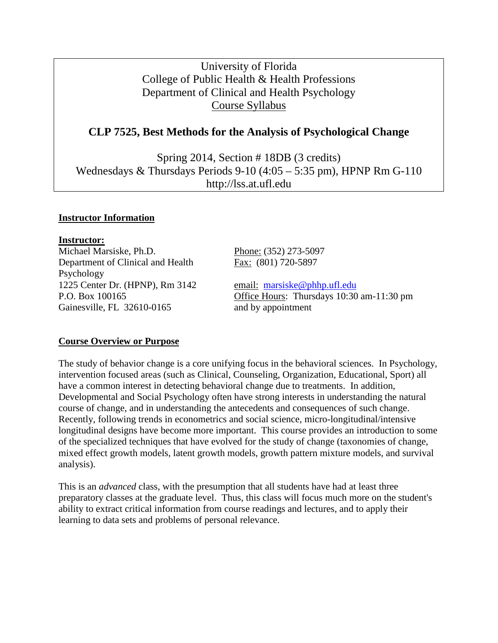# University of Florida College of Public Health & Health Professions Department of Clinical and Health Psychology Course Syllabus

# **CLP 7525, Best Methods for the Analysis of Psychological Change**

Spring 2014, Section # 18DB (3 credits) Wednesdays & Thursdays Periods 9-10 (4:05 – 5:35 pm), HPNP Rm G-110 http://lss.at.ufl.edu

#### **Instructor Information**

**Instructor:** Michael Marsiske, Ph.D. Phone: (352) 273-5097 Department of Clinical and Health Psychology 1225 Center Dr. (HPNP), Rm 3142 email: [marsiske@phhp.ufl.edu](mailto:marsiske@phhp.ufl.edu) Gainesville, FL 32610-0165 and by appointment

Fax: (801) 720-5897

P.O. Box 100165 Office Hours: Thursdays 10:30 am-11:30 pm

## **Course Overview or Purpose**

The study of behavior change is a core unifying focus in the behavioral sciences. In Psychology, intervention focused areas (such as Clinical, Counseling, Organization, Educational, Sport) all have a common interest in detecting behavioral change due to treatments. In addition, Developmental and Social Psychology often have strong interests in understanding the natural course of change, and in understanding the antecedents and consequences of such change. Recently, following trends in econometrics and social science, micro-longitudinal/intensive longitudinal designs have become more important. This course provides an introduction to some of the specialized techniques that have evolved for the study of change (taxonomies of change, mixed effect growth models, latent growth models, growth pattern mixture models, and survival analysis).

This is an *advanced* class, with the presumption that all students have had at least three preparatory classes at the graduate level. Thus, this class will focus much more on the student's ability to extract critical information from course readings and lectures, and to apply their learning to data sets and problems of personal relevance.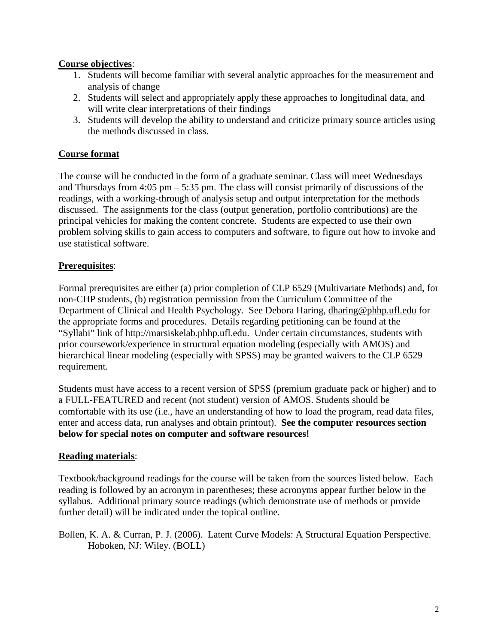## **Course objectives**:

- 1. Students will become familiar with several analytic approaches for the measurement and analysis of change
- 2. Students will select and appropriately apply these approaches to longitudinal data, and will write clear interpretations of their findings
- 3. Students will develop the ability to understand and criticize primary source articles using the methods discussed in class.

# **Course format**

The course will be conducted in the form of a graduate seminar. Class will meet Wednesdays and Thursdays from 4:05 pm – 5:35 pm. The class will consist primarily of discussions of the readings, with a working-through of analysis setup and output interpretation for the methods discussed. The assignments for the class (output generation, portfolio contributions) are the principal vehicles for making the content concrete. Students are expected to use their own problem solving skills to gain access to computers and software, to figure out how to invoke and use statistical software.

# **Prerequisites**:

Formal prerequisites are either (a) prior completion of CLP 6529 (Multivariate Methods) and, for non-CHP students, (b) registration permission from the Curriculum Committee of the Department of Clinical and Health Psychology. See Debora Haring, dharing@phhp.ufl.edu for the appropriate forms and procedures. Details regarding petitioning can be found at the "Syllabi" link of http://marsiskelab.phhp.ufl.edu. Under certain circumstances, students with prior coursework/experience in structural equation modeling (especially with AMOS) and hierarchical linear modeling (especially with SPSS) may be granted waivers to the CLP 6529 requirement.

Students must have access to a recent version of SPSS (premium graduate pack or higher) and to a FULL-FEATURED and recent (not student) version of AMOS. Students should be comfortable with its use (i.e., have an understanding of how to load the program, read data files, enter and access data, run analyses and obtain printout). **See the computer resources section below for special notes on computer and software resources!**

# **Reading materials**:

Textbook/background readings for the course will be taken from the sources listed below. Each reading is followed by an acronym in parentheses; these acronyms appear further below in the syllabus. Additional primary source readings (which demonstrate use of methods or provide further detail) will be indicated under the topical outline.

Bollen, K. A. & Curran, P. J. (2006). Latent Curve Models: A Structural Equation Perspective. Hoboken, NJ: Wiley. (BOLL)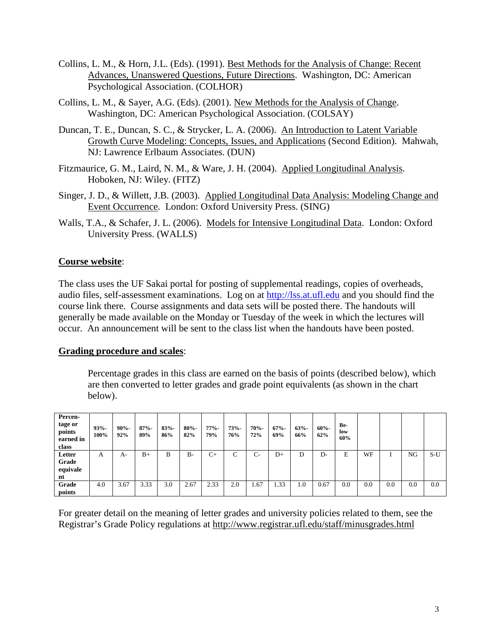- Collins, L. M., & Horn, J.L. (Eds). (1991). Best Methods for the Analysis of Change: Recent Advances, Unanswered Questions, Future Directions. Washington, DC: American Psychological Association. (COLHOR)
- Collins, L. M., & Sayer, A.G. (Eds). (2001). New Methods for the Analysis of Change. Washington, DC: American Psychological Association. (COLSAY)
- Duncan, T. E., Duncan, S. C., & Strycker, L. A. (2006). An Introduction to Latent Variable Growth Curve Modeling: Concepts, Issues, and Applications (Second Edition). Mahwah, NJ: Lawrence Erlbaum Associates. (DUN)
- Fitzmaurice, G. M., Laird, N. M., & Ware, J. H. (2004). Applied Longitudinal Analysis. Hoboken, NJ: Wiley. (FITZ)
- Singer, J. D., & Willett, J.B. (2003). Applied Longitudinal Data Analysis: Modeling Change and Event Occurrence. London: Oxford University Press. (SING)
- Walls, T.A., & Schafer, J. L. (2006). Models for Intensive Longitudinal Data. London: Oxford University Press. (WALLS)

#### **Course website**:

The class uses the UF Sakai portal for posting of supplemental readings, copies of overheads, audio files, self-assessment examinations. Log on at [http://lss.at.ufl.edu](http://lss.at.ufl.edu/) and you should find the course link there. Course assignments and data sets will be posted there. The handouts will generally be made available on the Monday or Tuesday of the week in which the lectures will occur. An announcement will be sent to the class list when the handouts have been posted.

#### **Grading procedure and scales**:

Percentage grades in this class are earned on the basis of points (described below), which are then converted to letter grades and grade point equivalents (as shown in the chart below).

| Percen-<br>tage or<br>points<br>earned in<br>class | $93% -$<br>100% | $90% -$<br>92% | $87% -$<br>89% | $83% -$<br>86% | $80% -$<br>82% | $77% -$<br>79% | 73%<br>76% | $70% -$<br>72% | $67% -$<br>69% | $63% -$<br>66% | $60% -$<br>62% | Be-<br>low<br>60% |     |     |     |       |
|----------------------------------------------------|-----------------|----------------|----------------|----------------|----------------|----------------|------------|----------------|----------------|----------------|----------------|-------------------|-----|-----|-----|-------|
| Letter<br>Grade                                    | $\mathsf{A}$    | A-             | $B+$           | B              | $B -$          | $C+$           | C          | C-             | $D+$           | D              | D-             | E                 | WF  |     | NG  | $S-U$ |
| equivale<br>nt                                     |                 |                |                |                |                |                |            |                |                |                |                |                   |     |     |     |       |
| Grade<br>points                                    | 4.0             | 3.67           | 3.33           | 3.0            | 2.67           | 2.33           | 2.0        | 1.67           | 1.33           | 1.0            | 0.67           | 0.0               | 0.0 | 0.0 | 0.0 | 0.0   |

For greater detail on the meaning of letter grades and university policies related to them, see the Registrar's Grade Policy regulations at http://www.registrar.ufl.edu/staff/minusgrades.html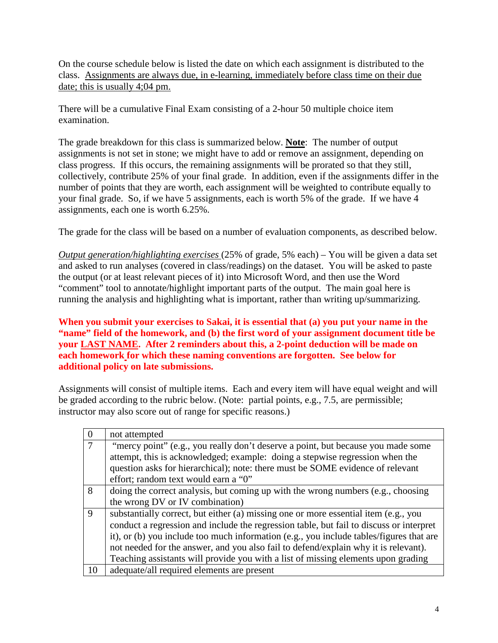On the course schedule below is listed the date on which each assignment is distributed to the class. Assignments are always due, in e-learning, immediately before class time on their due date; this is usually 4;04 pm.

There will be a cumulative Final Exam consisting of a 2-hour 50 multiple choice item examination.

The grade breakdown for this class is summarized below. **Note**: The number of output assignments is not set in stone; we might have to add or remove an assignment, depending on class progress. If this occurs, the remaining assignments will be prorated so that they still, collectively, contribute 25% of your final grade. In addition, even if the assignments differ in the number of points that they are worth, each assignment will be weighted to contribute equally to your final grade. So, if we have 5 assignments, each is worth 5% of the grade. If we have 4 assignments, each one is worth 6.25%.

The grade for the class will be based on a number of evaluation components, as described below.

*Output generation/highlighting exercises* (25% of grade, 5% each) – You will be given a data set and asked to run analyses (covered in class/readings) on the dataset. You will be asked to paste the output (or at least relevant pieces of it) into Microsoft Word, and then use the Word "comment" tool to annotate/highlight important parts of the output. The main goal here is running the analysis and highlighting what is important, rather than writing up/summarizing.

**When you submit your exercises to Sakai, it is essential that (a) you put your name in the "name" field of the homework, and (b) the first word of your assignment document title be your LAST NAME. After 2 reminders about this, a 2-point deduction will be made on each homework for which these naming conventions are forgotten. See below for additional policy on late submissions.**

Assignments will consist of multiple items. Each and every item will have equal weight and will be graded according to the rubric below. (Note: partial points, e.g., 7.5, are permissible; instructor may also score out of range for specific reasons.)

| $\overline{0}$ | not attempted                                                                           |
|----------------|-----------------------------------------------------------------------------------------|
| $\tau$         | "mercy point" (e.g., you really don't deserve a point, but because you made some        |
|                | attempt, this is acknowledged; example: doing a stepwise regression when the            |
|                | question asks for hierarchical); note: there must be SOME evidence of relevant          |
|                | effort; random text would earn a "0"                                                    |
| 8              | doing the correct analysis, but coming up with the wrong numbers (e.g., choosing        |
|                | the wrong DV or IV combination)                                                         |
| $\mathbf{Q}$   | substantially correct, but either (a) missing one or more essential item (e.g., you     |
|                | conduct a regression and include the regression table, but fail to discuss or interpret |
|                | it), or (b) you include too much information (e.g., you include tables/figures that are |
|                | not needed for the answer, and you also fail to defend/explain why it is relevant).     |
|                | Teaching assistants will provide you with a list of missing elements upon grading       |
| 10             | adequate/all required elements are present                                              |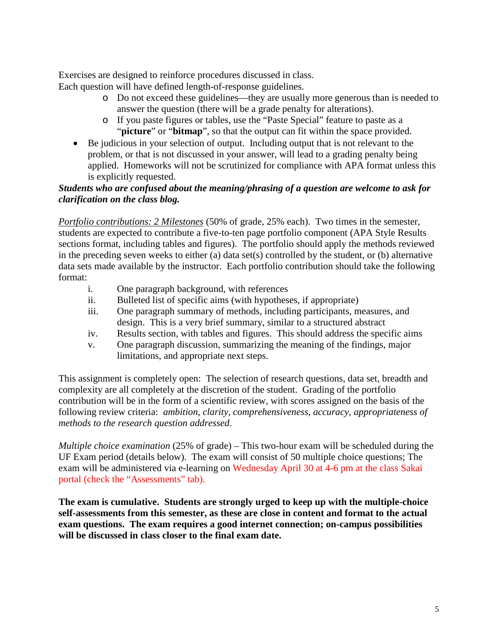Exercises are designed to reinforce procedures discussed in class. Each question will have defined length-of-response guidelines.

- o Do not exceed these guidelines—they are usually more generous than is needed to
	- answer the question (there will be a grade penalty for alterations).
	- o If you paste figures or tables, use the "Paste Special" feature to paste as a "**picture**" or "**bitmap**", so that the output can fit within the space provided.
- Be judicious in your selection of output. Including output that is not relevant to the problem, or that is not discussed in your answer, will lead to a grading penalty being applied. Homeworks will not be scrutinized for compliance with APA format unless this is explicitly requested.

## *Students who are confused about the meaning/phrasing of a question are welcome to ask for clarification on the class blog.*

*Portfolio contributions: 2 Milestones* (50% of grade, 25% each). Two times in the semester, students are expected to contribute a five-to-ten page portfolio component (APA Style Results sections format, including tables and figures). The portfolio should apply the methods reviewed in the preceding seven weeks to either (a) data set(s) controlled by the student, or (b) alternative data sets made available by the instructor. Each portfolio contribution should take the following format:

- i. One paragraph background, with references
- ii. Bulleted list of specific aims (with hypotheses, if appropriate)
- iii. One paragraph summary of methods, including participants, measures, and design. This is a very brief summary, similar to a structured abstract
- iv. Results section, with tables and figures. This should address the specific aims
- v. One paragraph discussion, summarizing the meaning of the findings, major limitations, and appropriate next steps.

This assignment is completely open: The selection of research questions, data set, breadth and complexity are all completely at the discretion of the student. Grading of the portfolio contribution will be in the form of a scientific review, with scores assigned on the basis of the following review criteria: *ambition*, *clarity*, *comprehensiveness*, *accuracy*, *appropriateness of methods to the research question addressed*.

*Multiple choice examination* (25% of grade) – This two-hour exam will be scheduled during the UF Exam period (details below). The exam will consist of 50 multiple choice questions; The exam will be administered via e-learning on Wednesday April 30 at 4-6 pm at the class Sakai portal (check the "Assessments" tab).

**The exam is cumulative. Students are strongly urged to keep up with the multiple-choice self-assessments from this semester, as these are close in content and format to the actual exam questions. The exam requires a good internet connection; on-campus possibilities will be discussed in class closer to the final exam date.**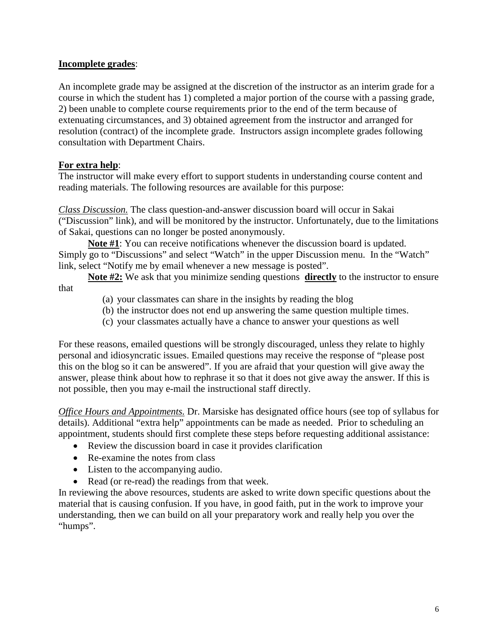#### **Incomplete grades**:

An incomplete grade may be assigned at the discretion of the instructor as an interim grade for a course in which the student has 1) completed a major portion of the course with a passing grade, 2) been unable to complete course requirements prior to the end of the term because of extenuating circumstances, and 3) obtained agreement from the instructor and arranged for resolution (contract) of the incomplete grade. Instructors assign incomplete grades following consultation with Department Chairs.

## **For extra help**:

The instructor will make every effort to support students in understanding course content and reading materials. The following resources are available for this purpose:

*Class Discussion.* The class question-and-answer discussion board will occur in Sakai ("Discussion" link), and will be monitored by the instructor. Unfortunately, due to the limitations of Sakai, questions can no longer be posted anonymously.

**Note #1**: You can receive notifications whenever the discussion board is updated. Simply go to "Discussions" and select "Watch" in the upper Discussion menu. In the "Watch" link, select "Notify me by email whenever a new message is posted".

**Note #2:** We ask that you minimize sending questions **directly** to the instructor to ensure that

- (a) your classmates can share in the insights by reading the blog
- (b) the instructor does not end up answering the same question multiple times.
- (c) your classmates actually have a chance to answer your questions as well

For these reasons, emailed questions will be strongly discouraged, unless they relate to highly personal and idiosyncratic issues. Emailed questions may receive the response of "please post this on the blog so it can be answered". If you are afraid that your question will give away the answer, please think about how to rephrase it so that it does not give away the answer. If this is not possible, then you may e-mail the instructional staff directly.

*Office Hours and Appointments.* Dr. Marsiske has designated office hours (see top of syllabus for details). Additional "extra help" appointments can be made as needed. Prior to scheduling an appointment, students should first complete these steps before requesting additional assistance:

- Review the discussion board in case it provides clarification
- Re-examine the notes from class
- Listen to the accompanying audio.
- Read (or re-read) the readings from that week.

In reviewing the above resources, students are asked to write down specific questions about the material that is causing confusion. If you have, in good faith, put in the work to improve your understanding, then we can build on all your preparatory work and really help you over the "humps".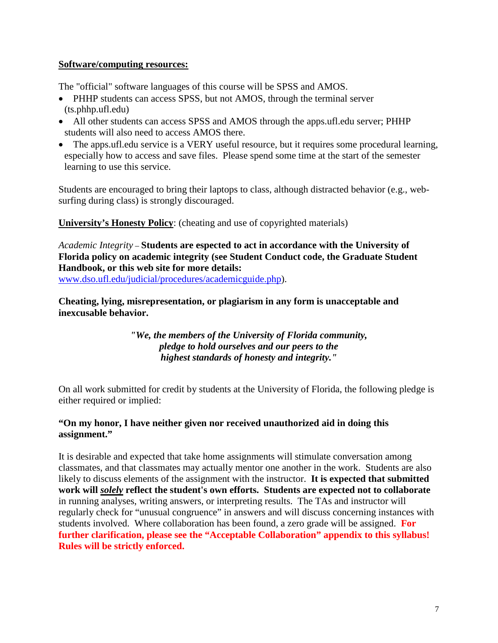### **Software/computing resources:**

The "official" software languages of this course will be SPSS and AMOS.

- PHHP students can access SPSS, but not AMOS, through the terminal server (ts.phhp.ufl.edu)
- All other students can access SPSS and AMOS through the apps.ufl.edu server; PHHP students will also need to access AMOS there.
- The apps.ufl.edu service is a VERY useful resource, but it requires some procedural learning, especially how to access and save files. Please spend some time at the start of the semester learning to use this service.

Students are encouraged to bring their laptops to class, although distracted behavior (e.g., websurfing during class) is strongly discouraged.

**University's Honesty Policy**: (cheating and use of copyrighted materials)

*Academic Integrity* – **Students are espected to act in accordance with the University of Florida policy on academic integrity (see Student Conduct code, the Graduate Student Handbook, or this web site for more details:** 

[www.dso.ufl.edu/judicial/procedures/academicguide.php\)](http://www.dso.ufl.edu/judicial/procedures/academicguide.php).

**Cheating, lying, misrepresentation, or plagiarism in any form is unacceptable and inexcusable behavior.**

> *"We, the members of the University of Florida community, pledge to hold ourselves and our peers to the highest standards of honesty and integrity."*

On all work submitted for credit by students at the University of Florida, the following pledge is either required or implied:

## **"On my honor, I have neither given nor received unauthorized aid in doing this assignment."**

It is desirable and expected that take home assignments will stimulate conversation among classmates, and that classmates may actually mentor one another in the work. Students are also likely to discuss elements of the assignment with the instructor. **It is expected that submitted work will** *solely* **reflect the student's own efforts. Students are expected not to collaborate** in running analyses, writing answers, or interpreting results. The TAs and instructor will regularly check for "unusual congruence" in answers and will discuss concerning instances with students involved. Where collaboration has been found, a zero grade will be assigned. **For further clarification, please see the "Acceptable Collaboration" appendix to this syllabus! Rules will be strictly enforced.**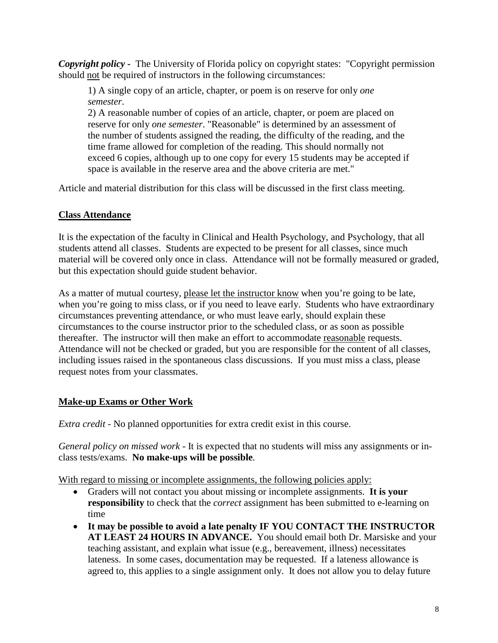*Copyright policy -* The University of Florida policy on copyright states: "Copyright permission should not be required of instructors in the following circumstances:

1) A single copy of an article, chapter, or poem is on reserve for only *one semester*.

2) A reasonable number of copies of an article, chapter, or poem are placed on reserve for only *one semester*. "Reasonable" is determined by an assessment of the number of students assigned the reading, the difficulty of the reading, and the time frame allowed for completion of the reading. This should normally not exceed 6 copies, although up to one copy for every 15 students may be accepted if space is available in the reserve area and the above criteria are met."

Article and material distribution for this class will be discussed in the first class meeting.

# **Class Attendance**

It is the expectation of the faculty in Clinical and Health Psychology, and Psychology, that all students attend all classes. Students are expected to be present for all classes, since much material will be covered only once in class. Attendance will not be formally measured or graded, but this expectation should guide student behavior.

As a matter of mutual courtesy, please let the instructor know when you're going to be late, when you're going to miss class, or if you need to leave early. Students who have extraordinary circumstances preventing attendance, or who must leave early, should explain these circumstances to the course instructor prior to the scheduled class, or as soon as possible thereafter. The instructor will then make an effort to accommodate reasonable requests. Attendance will not be checked or graded, but you are responsible for the content of all classes, including issues raised in the spontaneous class discussions. If you must miss a class, please request notes from your classmates.

# **Make-up Exams or Other Work**

*Extra credit* - No planned opportunities for extra credit exist in this course.

*General policy on missed work* - It is expected that no students will miss any assignments or inclass tests/exams. **No make-ups will be possible**.

With regard to missing or incomplete assignments, the following policies apply:

- Graders will not contact you about missing or incomplete assignments. **It is your responsibility** to check that the *correct* assignment has been submitted to e-learning on time
- **It may be possible to avoid a late penalty IF YOU CONTACT THE INSTRUCTOR AT LEAST 24 HOURS IN ADVANCE.** You should email both Dr. Marsiske and your teaching assistant, and explain what issue (e.g., bereavement, illness) necessitates lateness. In some cases, documentation may be requested. If a lateness allowance is agreed to, this applies to a single assignment only. It does not allow you to delay future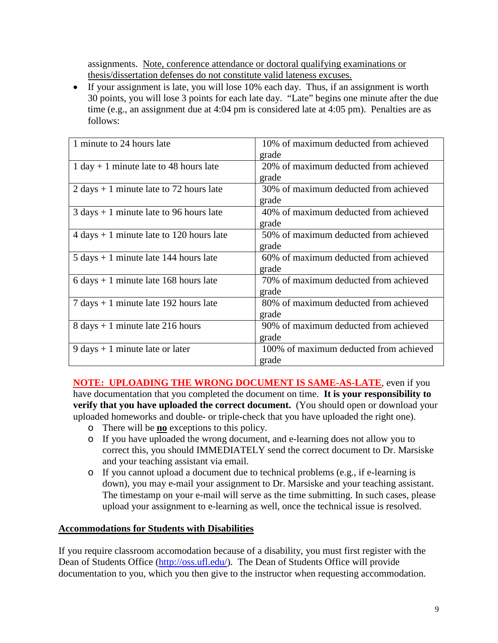assignments. Note, conference attendance or doctoral qualifying examinations or thesis/dissertation defenses do not constitute valid lateness excuses.

• If your assignment is late, you will lose 10% each day. Thus, if an assignment is worth 30 points, you will lose 3 points for each late day. "Late" begins one minute after the due time (e.g., an assignment due at 4:04 pm is considered late at 4:05 pm). Penalties are as follows:

| 1 minute to 24 hours late                                  | 10% of maximum deducted from achieved  |
|------------------------------------------------------------|----------------------------------------|
|                                                            | grade                                  |
| $1 day + 1 minute$ late to 48 hours late                   | 20% of maximum deducted from achieved  |
|                                                            | grade                                  |
| $2 \text{ days} + 1 \text{ minute}$ late to 72 hours late  | 30% of maximum deducted from achieved  |
|                                                            | grade                                  |
| $3 \text{ days} + 1 \text{ minute}$ late to 96 hours late  | 40% of maximum deducted from achieved  |
|                                                            | grade                                  |
| $4 \text{ days} + 1 \text{ minute}$ late to 120 hours late | 50% of maximum deducted from achieved  |
|                                                            | grade                                  |
| $5 \text{ days} + 1 \text{ minute}$ late 144 hours late    | 60% of maximum deducted from achieved  |
|                                                            | grade                                  |
| $6 \text{ days} + 1 \text{ minute}$ late 168 hours late    | 70% of maximum deducted from achieved  |
|                                                            | grade                                  |
| $7 \text{ days} + 1 \text{ minute}$ late 192 hours late    | 80% of maximum deducted from achieved  |
|                                                            | grade                                  |
| $8 \text{ days} + 1 \text{ minute}$ late 216 hours         | 90% of maximum deducted from achieved  |
|                                                            | grade                                  |
| $9 \text{ days} + 1 \text{ minute}$ late or later          | 100% of maximum deducted from achieved |
|                                                            | grade                                  |

**NOTE: UPLOADING THE WRONG DOCUMENT IS SAME-AS-LATE**, even if you have documentation that you completed the document on time. **It is your responsibility to verify that you have uploaded the correct document.** (You should open or download your uploaded homeworks and double- or triple-check that you have uploaded the right one).

- o There will be **no** exceptions to this policy.
- o If you have uploaded the wrong document, and e-learning does not allow you to correct this, you should IMMEDIATELY send the correct document to Dr. Marsiske and your teaching assistant via email.
- o If you cannot upload a document due to technical problems (e.g., if e-learning is down), you may e-mail your assignment to Dr. Marsiske and your teaching assistant. The timestamp on your e-mail will serve as the time submitting. In such cases, please upload your assignment to e-learning as well, once the technical issue is resolved.

#### **Accommodations for Students with Disabilities**

If you require classroom accomodation because of a disability, you must first register with the Dean of Students Office [\(http://oss.ufl.edu/\)](http://oss.ufl.edu/). The Dean of Students Office will provide documentation to you, which you then give to the instructor when requesting accommodation.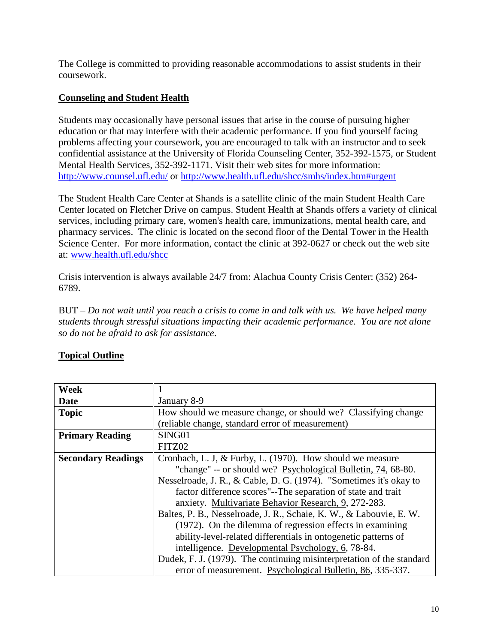The College is committed to providing reasonable accommodations to assist students in their coursework.

# **Counseling and Student Health**

Students may occasionally have personal issues that arise in the course of pursuing higher education or that may interfere with their academic performance. If you find yourself facing problems affecting your coursework, you are encouraged to talk with an instructor and to seek confidential assistance at the University of Florida Counseling Center, 352-392-1575, or Student Mental Health Services, 352-392-1171. Visit their web sites for more information: <http://www.counsel.ufl.edu/> or<http://www.health.ufl.edu/shcc/smhs/index.htm#urgent>

The Student Health Care Center at Shands is a satellite clinic of the main Student Health Care Center located on Fletcher Drive on campus. Student Health at Shands offers a variety of clinical services, including primary care, women's health care, immunizations, mental health care, and pharmacy services. The clinic is located on the second floor of the Dental Tower in the Health Science Center. For more information, contact the clinic at 392-0627 or check out the web site at: [www.health.ufl.edu/shcc](http://www.health.ufl.edu/shcc)

Crisis intervention is always available 24/7 from: Alachua County Crisis Center: (352) 264- 6789.

BUT – *Do not wait until you reach a crisis to come in and talk with us. We have helped many students through stressful situations impacting their academic performance. You are not alone so do not be afraid to ask for assistance*.

| Week                      |                                                                       |  |  |  |
|---------------------------|-----------------------------------------------------------------------|--|--|--|
| <b>Date</b>               | January 8-9                                                           |  |  |  |
| <b>Topic</b>              | How should we measure change, or should we? Classifying change        |  |  |  |
|                           | (reliable change, standard error of measurement)                      |  |  |  |
| <b>Primary Reading</b>    | SING01                                                                |  |  |  |
|                           | FITZ02                                                                |  |  |  |
| <b>Secondary Readings</b> | Cronbach, L. J, & Furby, L. (1970). How should we measure             |  |  |  |
|                           | "change" -- or should we? Psychological Bulletin, 74, 68-80.          |  |  |  |
|                           | Nesselroade, J. R., & Cable, D. G. (1974). "Sometimes it's okay to    |  |  |  |
|                           | factor difference scores"--The separation of state and trait          |  |  |  |
|                           | anxiety. Multivariate Behavior Research, 9, 272-283.                  |  |  |  |
|                           | Baltes, P. B., Nesselroade, J. R., Schaie, K. W., & Labouvie, E. W.   |  |  |  |
|                           | (1972). On the dilemma of regression effects in examining             |  |  |  |
|                           | ability-level-related differentials in ontogenetic patterns of        |  |  |  |
|                           | intelligence. Developmental Psychology, 6, 78-84.                     |  |  |  |
|                           | Dudek, F. J. (1979). The continuing misinterpretation of the standard |  |  |  |
|                           | error of measurement. Psychological Bulletin, 86, 335-337.            |  |  |  |

# **Topical Outline**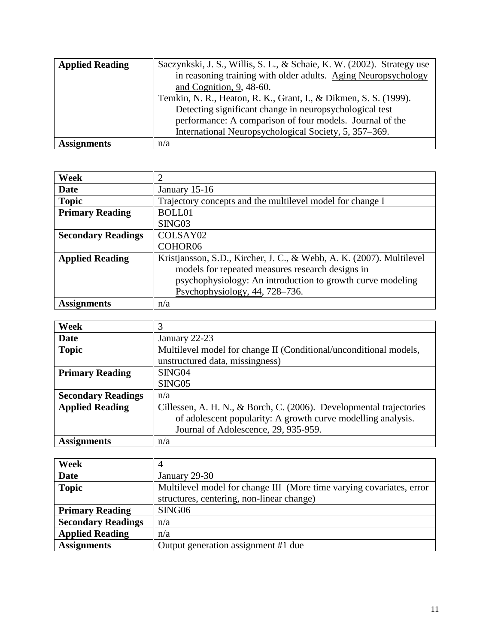| <b>Applied Reading</b> | Saczynkski, J. S., Willis, S. L., & Schaie, K. W. (2002). Strategy use |
|------------------------|------------------------------------------------------------------------|
|                        | in reasoning training with older adults. Aging Neuropsychology         |
|                        | and Cognition, $9, 48-60$ .                                            |
|                        | Temkin, N. R., Heaton, R. K., Grant, I., & Dikmen, S. S. (1999).       |
|                        | Detecting significant change in neuropsychological test                |
|                        | performance: A comparison of four models. Journal of the               |
|                        | International Neuropsychological Society, 5, 357–369.                  |
| <b>Assignments</b>     | n/a                                                                    |

| Week                      | $\overline{2}$                                                     |
|---------------------------|--------------------------------------------------------------------|
| Date                      | January 15-16                                                      |
| <b>Topic</b>              | Trajectory concepts and the multilevel model for change I          |
| <b>Primary Reading</b>    | <b>BOLL01</b>                                                      |
|                           | SING <sub>03</sub>                                                 |
| <b>Secondary Readings</b> | COLSAY <sub>02</sub>                                               |
|                           | COHOR06                                                            |
| <b>Applied Reading</b>    | Kristjansson, S.D., Kircher, J.C., & Webb, A.K. (2007). Multilevel |
|                           | models for repeated measures research designs in                   |
|                           | psychophysiology: An introduction to growth curve modeling         |
|                           | Psychophysiology, $44$ , $728-736$ .                               |
| <b>Assignments</b>        | n/a                                                                |

| Week                      | 3                                                                   |
|---------------------------|---------------------------------------------------------------------|
|                           |                                                                     |
| Date                      | January 22-23                                                       |
| <b>Topic</b>              | Multilevel model for change II (Conditional/unconditional models,   |
|                           | unstructured data, missingness)                                     |
| <b>Primary Reading</b>    | SING04                                                              |
|                           | SING <sub>05</sub>                                                  |
| <b>Secondary Readings</b> | n/a                                                                 |
| <b>Applied Reading</b>    | Cillessen, A. H. N., & Borch, C. (2006). Developmental trajectories |
|                           | of adolescent popularity: A growth curve modelling analysis.        |
|                           | Journal of Adolescence, 29, 935-959.                                |
| <b>Assignments</b>        | n/a                                                                 |

| Week                      | 4                                                                    |
|---------------------------|----------------------------------------------------------------------|
| <b>Date</b>               | January 29-30                                                        |
| <b>Topic</b>              | Multilevel model for change III (More time varying covariates, error |
|                           | structures, centering, non-linear change)                            |
| <b>Primary Reading</b>    | SING06                                                               |
| <b>Secondary Readings</b> | n/a                                                                  |
| <b>Applied Reading</b>    | n/a                                                                  |
| <b>Assignments</b>        | Output generation assignment #1 due                                  |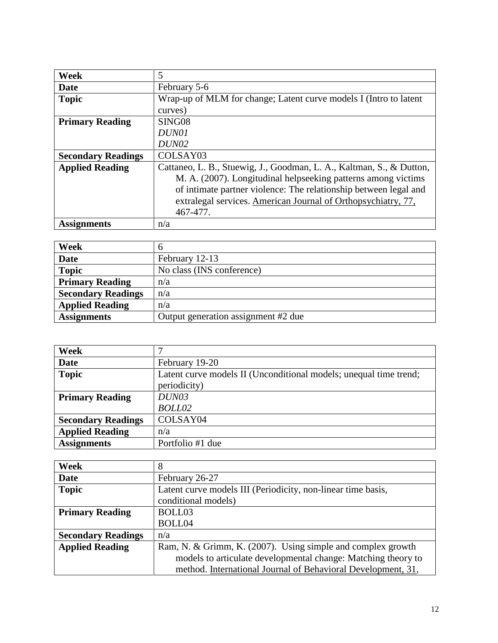| Week                      | 5                                                                    |
|---------------------------|----------------------------------------------------------------------|
| Date                      | February 5-6                                                         |
| <b>Topic</b>              | Wrap-up of MLM for change; Latent curve models I (Intro to latent    |
|                           | curves)                                                              |
| <b>Primary Reading</b>    | SING <sub>08</sub>                                                   |
|                           | DUN01                                                                |
|                           | DUN02                                                                |
| <b>Secondary Readings</b> | COLSAY03                                                             |
| <b>Applied Reading</b>    | Cattaneo, L. B., Stuewig, J., Goodman, L. A., Kaltman, S., & Dutton, |
|                           | M. A. (2007). Longitudinal helpseeking patterns among victims        |
|                           | of intimate partner violence: The relationship between legal and     |
|                           | extralegal services. American Journal of Orthopsychiatry, 77,        |
|                           | 467-477.                                                             |
| <b>Assignments</b>        | n/a                                                                  |

| Week                      | <sub>0</sub>                        |
|---------------------------|-------------------------------------|
| <b>Date</b>               | February 12-13                      |
| <b>Topic</b>              | No class (INS conference)           |
| <b>Primary Reading</b>    | n/a                                 |
| <b>Secondary Readings</b> | n/a                                 |
| <b>Applied Reading</b>    | n/a                                 |
| <b>Assignments</b>        | Output generation assignment #2 due |

| Week                      |                                                                   |
|---------------------------|-------------------------------------------------------------------|
| Date                      | February 19-20                                                    |
| <b>Topic</b>              | Latent curve models II (Unconditional models; unequal time trend; |
|                           | periodicity)                                                      |
| <b>Primary Reading</b>    | DUN03                                                             |
|                           | BOLL02                                                            |
| <b>Secondary Readings</b> | COLSAY04                                                          |
| <b>Applied Reading</b>    | n/a                                                               |
| <b>Assignments</b>        | Portfolio #1 due                                                  |

| <b>Week</b>               | 8                                                             |
|---------------------------|---------------------------------------------------------------|
| <b>Date</b>               | February 26-27                                                |
| <b>Topic</b>              | Latent curve models III (Periodicity, non-linear time basis,  |
|                           | conditional models)                                           |
| <b>Primary Reading</b>    | BOLL03                                                        |
|                           | BOLL04                                                        |
| <b>Secondary Readings</b> | n/a                                                           |
| <b>Applied Reading</b>    | Ram, N. & Grimm, K. (2007). Using simple and complex growth   |
|                           | models to articulate developmental change: Matching theory to |
|                           | method. International Journal of Behavioral Development, 31,  |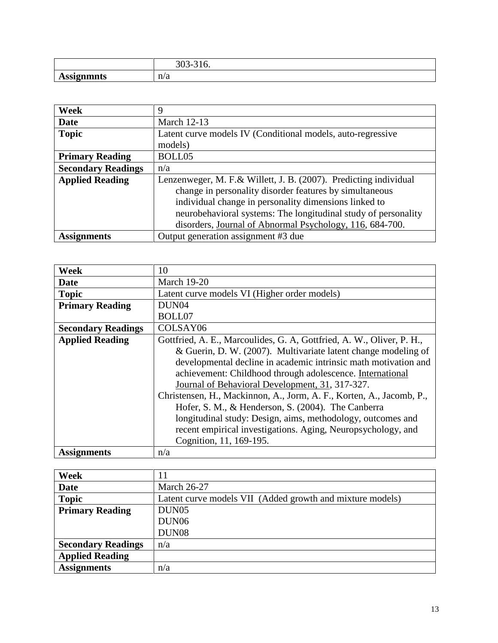|             | . .<br>.<br>ັ |
|-------------|---------------|
| 110016<br>, | n/a           |

| Week                      | 9                                                                |
|---------------------------|------------------------------------------------------------------|
| <b>Date</b>               | <b>March 12-13</b>                                               |
| <b>Topic</b>              | Latent curve models IV (Conditional models, auto-regressive      |
|                           | models)                                                          |
| <b>Primary Reading</b>    | BOLL05                                                           |
| <b>Secondary Readings</b> | n/a                                                              |
| <b>Applied Reading</b>    | Lenzenweger, M. F.& Willett, J. B. (2007). Predicting individual |
|                           | change in personality disorder features by simultaneous          |
|                           | individual change in personality dimensions linked to            |
|                           | neurobehavioral systems: The longitudinal study of personality   |
|                           | disorders, Journal of Abnormal Psychology, 116, 684-700.         |
| <b>Assignments</b>        | Output generation assignment #3 due                              |

| Week                      | 10                                                                    |
|---------------------------|-----------------------------------------------------------------------|
| Date                      | <b>March 19-20</b>                                                    |
| <b>Topic</b>              | Latent curve models VI (Higher order models)                          |
| <b>Primary Reading</b>    | DUN <sub>04</sub>                                                     |
|                           | BOLL07                                                                |
| <b>Secondary Readings</b> | COLSAY06                                                              |
| <b>Applied Reading</b>    | Gottfried, A. E., Marcoulides, G. A, Gottfried, A. W., Oliver, P. H., |
|                           | & Guerin, D. W. (2007). Multivariate latent change modeling of        |
|                           | developmental decline in academic intrinsic math motivation and       |
|                           | achievement: Childhood through adolescence. International             |
|                           | Journal of Behavioral Development, 31, 317-327.                       |
|                           | Christensen, H., Mackinnon, A., Jorm, A. F., Korten, A., Jacomb, P.,  |
|                           | Hofer, S. M., & Henderson, S. (2004). The Canberra                    |
|                           | longitudinal study: Design, aims, methodology, outcomes and           |
|                           | recent empirical investigations. Aging, Neuropsychology, and          |
|                           | Cognition, 11, 169-195.                                               |
| <b>Assignments</b>        | n/a                                                                   |

| Week                      |                                                           |
|---------------------------|-----------------------------------------------------------|
| <b>Date</b>               | <b>March 26-27</b>                                        |
| <b>Topic</b>              | Latent curve models VII (Added growth and mixture models) |
| <b>Primary Reading</b>    | DUN <sub>05</sub>                                         |
|                           | DUN <sub>06</sub>                                         |
|                           | DUN <sub>08</sub>                                         |
| <b>Secondary Readings</b> | n/a                                                       |
| <b>Applied Reading</b>    |                                                           |
| <b>Assignments</b>        | n/a                                                       |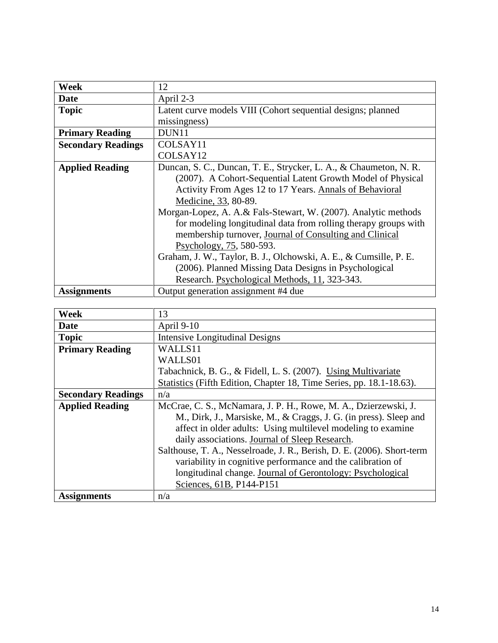| Week                      | 12                                                                |
|---------------------------|-------------------------------------------------------------------|
| Date                      | April 2-3                                                         |
| <b>Topic</b>              | Latent curve models VIII (Cohort sequential designs; planned      |
|                           | missingness)                                                      |
| <b>Primary Reading</b>    | DUN11                                                             |
| <b>Secondary Readings</b> | COLSAY11                                                          |
|                           | COLSAY12                                                          |
| <b>Applied Reading</b>    | Duncan, S. C., Duncan, T. E., Strycker, L. A., & Chaumeton, N. R. |
|                           | (2007). A Cohort-Sequential Latent Growth Model of Physical       |
|                           | Activity From Ages 12 to 17 Years. Annals of Behavioral           |
|                           | Medicine, 33, 80-89.                                              |
|                           | Morgan-Lopez, A. A.& Fals-Stewart, W. (2007). Analytic methods    |
|                           | for modeling longitudinal data from rolling therapy groups with   |
|                           | membership turnover, Journal of Consulting and Clinical           |
|                           | Psychology, 75, 580-593.                                          |
|                           | Graham, J. W., Taylor, B. J., Olchowski, A. E., & Cumsille, P. E. |
|                           | (2006). Planned Missing Data Designs in Psychological             |
|                           | Research. Psychological Methods, 11, 323-343.                     |
| <b>Assignments</b>        | Output generation assignment #4 due                               |

| Week                      | 13                                                                     |
|---------------------------|------------------------------------------------------------------------|
| Date                      | April 9-10                                                             |
| <b>Topic</b>              | <b>Intensive Longitudinal Designs</b>                                  |
| <b>Primary Reading</b>    | WALLS11                                                                |
|                           | WALLS01                                                                |
|                           | Tabachnick, B. G., & Fidell, L. S. (2007). Using Multivariate          |
|                           | Statistics (Fifth Edition, Chapter 18, Time Series, pp. 18.1-18.63).   |
| <b>Secondary Readings</b> | n/a                                                                    |
| <b>Applied Reading</b>    | McCrae, C. S., McNamara, J. P. H., Rowe, M. A., Dzierzewski, J.        |
|                           | M., Dirk, J., Marsiske, M., & Craggs, J. G. (in press). Sleep and      |
|                           | affect in older adults: Using multilevel modeling to examine           |
|                           | daily associations. Journal of Sleep Research.                         |
|                           | Salthouse, T. A., Nesselroade, J. R., Berish, D. E. (2006). Short-term |
|                           | variability in cognitive performance and the calibration of            |
|                           | longitudinal change. Journal of Gerontology: Psychological             |
|                           | Sciences, 61B, P144-P151                                               |
| <b>Assignments</b>        | n/a                                                                    |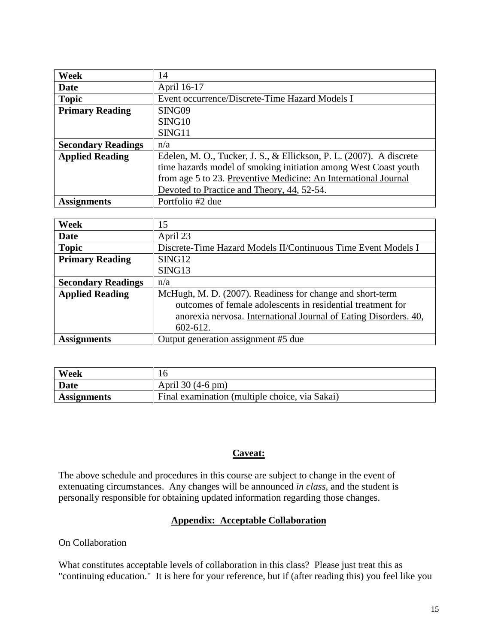| Week                      | 14                                                                  |
|---------------------------|---------------------------------------------------------------------|
| <b>Date</b>               | April 16-17                                                         |
| <b>Topic</b>              | Event occurrence/Discrete-Time Hazard Models I                      |
| <b>Primary Reading</b>    | SING09                                                              |
|                           | SING10                                                              |
|                           | SING11                                                              |
| <b>Secondary Readings</b> | n/a                                                                 |
| <b>Applied Reading</b>    | Edelen, M. O., Tucker, J. S., & Ellickson, P. L. (2007). A discrete |
|                           | time hazards model of smoking initiation among West Coast youth     |
|                           | from age 5 to 23. Preventive Medicine: An International Journal     |
|                           | Devoted to Practice and Theory, 44, 52-54.                          |
| <b>Assignments</b>        | Portfolio #2 due                                                    |

| Week                      | 15                                                               |
|---------------------------|------------------------------------------------------------------|
| <b>Date</b>               | April 23                                                         |
| <b>Topic</b>              | Discrete-Time Hazard Models II/Continuous Time Event Models I    |
| <b>Primary Reading</b>    | SING12                                                           |
|                           | SING13                                                           |
| <b>Secondary Readings</b> | n/a                                                              |
| <b>Applied Reading</b>    | McHugh, M. D. (2007). Readiness for change and short-term        |
|                           | outcomes of female adolescents in residential treatment for      |
|                           | anorexia nervosa. International Journal of Eating Disorders. 40, |
|                           | 602-612.                                                         |
| <b>Assignments</b>        | Output generation assignment #5 due                              |

| Week               |                                                |
|--------------------|------------------------------------------------|
| <b>Date</b>        | April 30 (4-6 pm)                              |
| <b>Assignments</b> | Final examination (multiple choice, via Sakai) |

#### **Caveat:**

The above schedule and procedures in this course are subject to change in the event of extenuating circumstances. Any changes will be announced *in class*, and the student is personally responsible for obtaining updated information regarding those changes.

## **Appendix: Acceptable Collaboration**

On Collaboration

What constitutes acceptable levels of collaboration in this class? Please just treat this as "continuing education." It is here for your reference, but if (after reading this) you feel like you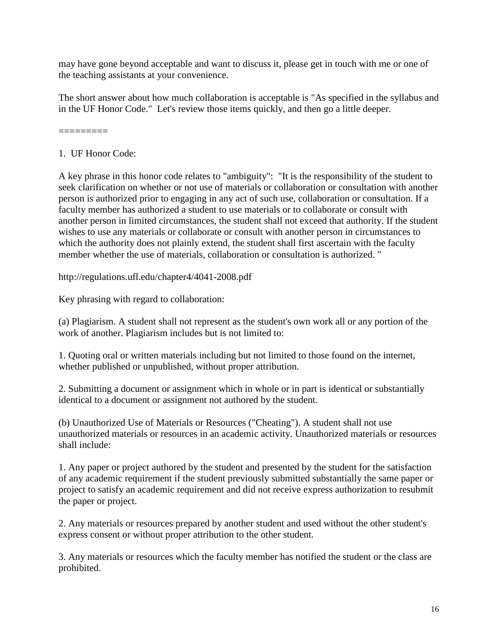may have gone beyond acceptable and want to discuss it, please get in touch with me or one of the teaching assistants at your convenience.

The short answer about how much collaboration is acceptable is "As specified in the syllabus and in the UF Honor Code." Let's review those items quickly, and then go a little deeper.

=========

# 1. UF Honor Code:

A key phrase in this honor code relates to "ambiguity": "It is the responsibility of the student to seek clarification on whether or not use of materials or collaboration or consultation with another person is authorized prior to engaging in any act of such use, collaboration or consultation. If a faculty member has authorized a student to use materials or to collaborate or consult with another person in limited circumstances, the student shall not exceed that authority. If the student wishes to use any materials or collaborate or consult with another person in circumstances to which the authority does not plainly extend, the student shall first ascertain with the faculty member whether the use of materials, collaboration or consultation is authorized. "

http://regulations.ufl.edu/chapter4/4041-2008.pdf

Key phrasing with regard to collaboration:

(a) Plagiarism. A student shall not represent as the student's own work all or any portion of the work of another. Plagiarism includes but is not limited to:

1. Quoting oral or written materials including but not limited to those found on the internet, whether published or unpublished, without proper attribution.

2. Submitting a document or assignment which in whole or in part is identical or substantially identical to a document or assignment not authored by the student.

(b) Unauthorized Use of Materials or Resources ("Cheating"). A student shall not use unauthorized materials or resources in an academic activity. Unauthorized materials or resources shall include:

1. Any paper or project authored by the student and presented by the student for the satisfaction of any academic requirement if the student previously submitted substantially the same paper or project to satisfy an academic requirement and did not receive express authorization to resubmit the paper or project.

2. Any materials or resources prepared by another student and used without the other student's express consent or without proper attribution to the other student.

3. Any materials or resources which the faculty member has notified the student or the class are prohibited.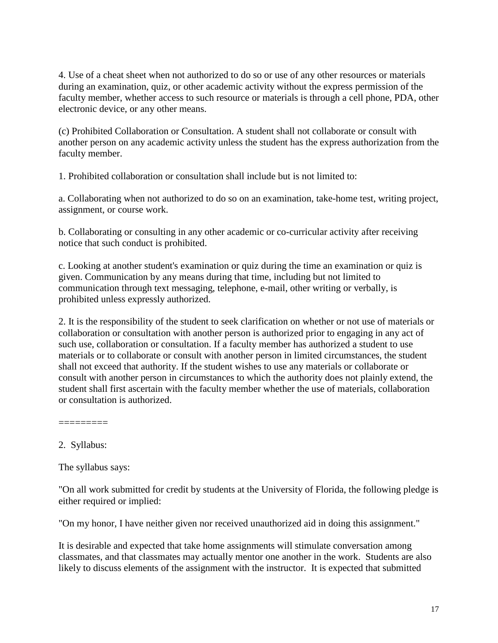4. Use of a cheat sheet when not authorized to do so or use of any other resources or materials during an examination, quiz, or other academic activity without the express permission of the faculty member, whether access to such resource or materials is through a cell phone, PDA, other electronic device, or any other means.

(c) Prohibited Collaboration or Consultation. A student shall not collaborate or consult with another person on any academic activity unless the student has the express authorization from the faculty member.

1. Prohibited collaboration or consultation shall include but is not limited to:

a. Collaborating when not authorized to do so on an examination, take-home test, writing project, assignment, or course work.

b. Collaborating or consulting in any other academic or co-curricular activity after receiving notice that such conduct is prohibited.

c. Looking at another student's examination or quiz during the time an examination or quiz is given. Communication by any means during that time, including but not limited to communication through text messaging, telephone, e-mail, other writing or verbally, is prohibited unless expressly authorized.

2. It is the responsibility of the student to seek clarification on whether or not use of materials or collaboration or consultation with another person is authorized prior to engaging in any act of such use, collaboration or consultation. If a faculty member has authorized a student to use materials or to collaborate or consult with another person in limited circumstances, the student shall not exceed that authority. If the student wishes to use any materials or collaborate or consult with another person in circumstances to which the authority does not plainly extend, the student shall first ascertain with the faculty member whether the use of materials, collaboration or consultation is authorized.

=========

2. Syllabus:

The syllabus says:

"On all work submitted for credit by students at the University of Florida, the following pledge is either required or implied:

"On my honor, I have neither given nor received unauthorized aid in doing this assignment."

It is desirable and expected that take home assignments will stimulate conversation among classmates, and that classmates may actually mentor one another in the work. Students are also likely to discuss elements of the assignment with the instructor. It is expected that submitted